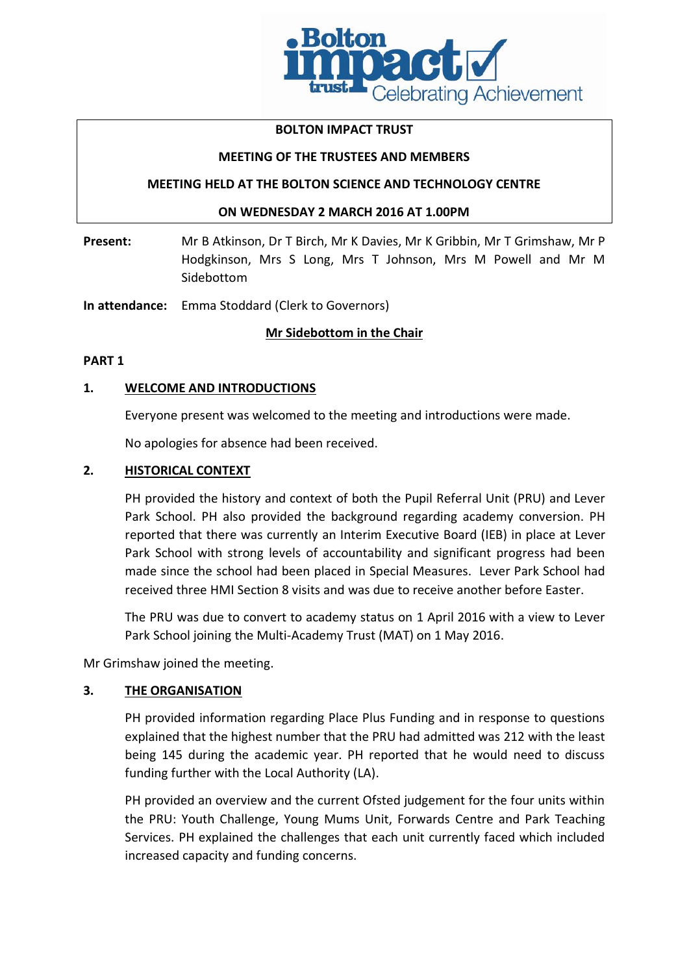

### **BOLTON IMPACT TRUST**

### **MEETING OF THE TRUSTEES AND MEMBERS**

### **MEETING HELD AT THE BOLTON SCIENCE AND TECHNOLOGY CENTRE**

### **ON WEDNESDAY 2 MARCH 2016 AT 1.00PM**

**Present:** Mr B Atkinson, Dr T Birch, Mr K Davies, Mr K Gribbin, Mr T Grimshaw, Mr P Hodgkinson, Mrs S Long, Mrs T Johnson, Mrs M Powell and Mr M Sidebottom

**In attendance:** Emma Stoddard (Clerk to Governors)

### **Mr Sidebottom in the Chair**

### **PART 1**

### **1. WELCOME AND INTRODUCTIONS**

Everyone present was welcomed to the meeting and introductions were made.

No apologies for absence had been received.

### **2. HISTORICAL CONTEXT**

PH provided the history and context of both the Pupil Referral Unit (PRU) and Lever Park School. PH also provided the background regarding academy conversion. PH reported that there was currently an Interim Executive Board (IEB) in place at Lever Park School with strong levels of accountability and significant progress had been made since the school had been placed in Special Measures. Lever Park School had received three HMI Section 8 visits and was due to receive another before Easter.

The PRU was due to convert to academy status on 1 April 2016 with a view to Lever Park School joining the Multi-Academy Trust (MAT) on 1 May 2016.

Mr Grimshaw joined the meeting.

### **3. THE ORGANISATION**

PH provided information regarding Place Plus Funding and in response to questions explained that the highest number that the PRU had admitted was 212 with the least being 145 during the academic year. PH reported that he would need to discuss funding further with the Local Authority (LA).

PH provided an overview and the current Ofsted judgement for the four units within the PRU: Youth Challenge, Young Mums Unit, Forwards Centre and Park Teaching Services. PH explained the challenges that each unit currently faced which included increased capacity and funding concerns.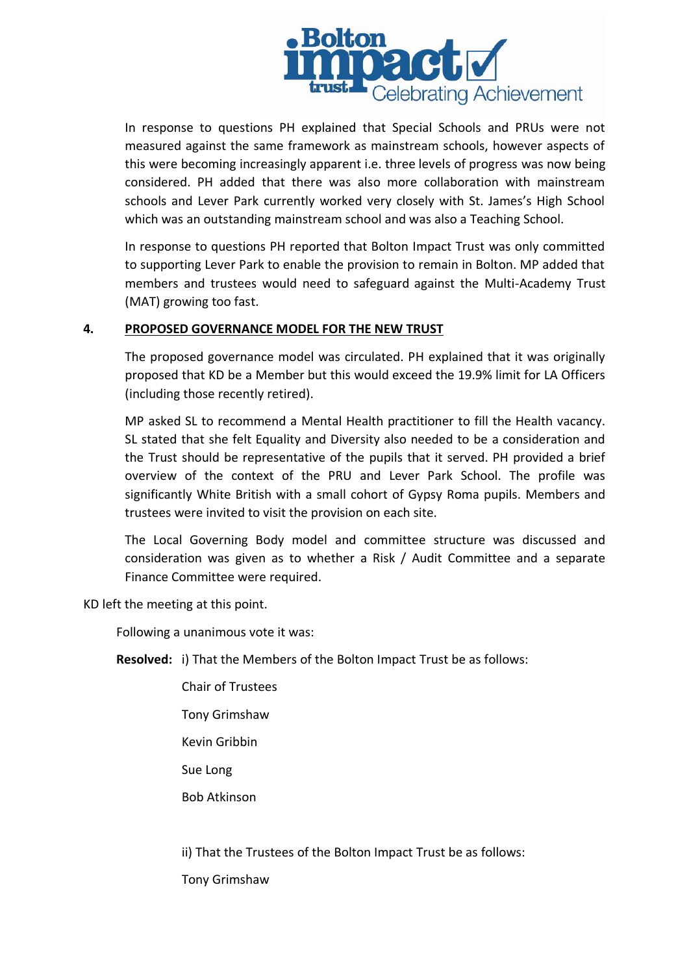

In response to questions PH explained that Special Schools and PRUs were not measured against the same framework as mainstream schools, however aspects of this were becoming increasingly apparent i.e. three levels of progress was now being considered. PH added that there was also more collaboration with mainstream schools and Lever Park currently worked very closely with St. James's High School which was an outstanding mainstream school and was also a Teaching School.

In response to questions PH reported that Bolton Impact Trust was only committed to supporting Lever Park to enable the provision to remain in Bolton. MP added that members and trustees would need to safeguard against the Multi-Academy Trust (MAT) growing too fast.

### **4. PROPOSED GOVERNANCE MODEL FOR THE NEW TRUST**

The proposed governance model was circulated. PH explained that it was originally proposed that KD be a Member but this would exceed the 19.9% limit for LA Officers (including those recently retired).

MP asked SL to recommend a Mental Health practitioner to fill the Health vacancy. SL stated that she felt Equality and Diversity also needed to be a consideration and the Trust should be representative of the pupils that it served. PH provided a brief overview of the context of the PRU and Lever Park School. The profile was significantly White British with a small cohort of Gypsy Roma pupils. Members and trustees were invited to visit the provision on each site.

The Local Governing Body model and committee structure was discussed and consideration was given as to whether a Risk / Audit Committee and a separate Finance Committee were required.

KD left the meeting at this point.

Following a unanimous vote it was:

**Resolved:** i) That the Members of the Bolton Impact Trust be as follows:

Chair of Trustees Tony Grimshaw Kevin Gribbin Sue Long Bob Atkinson

ii) That the Trustees of the Bolton Impact Trust be as follows:

Tony Grimshaw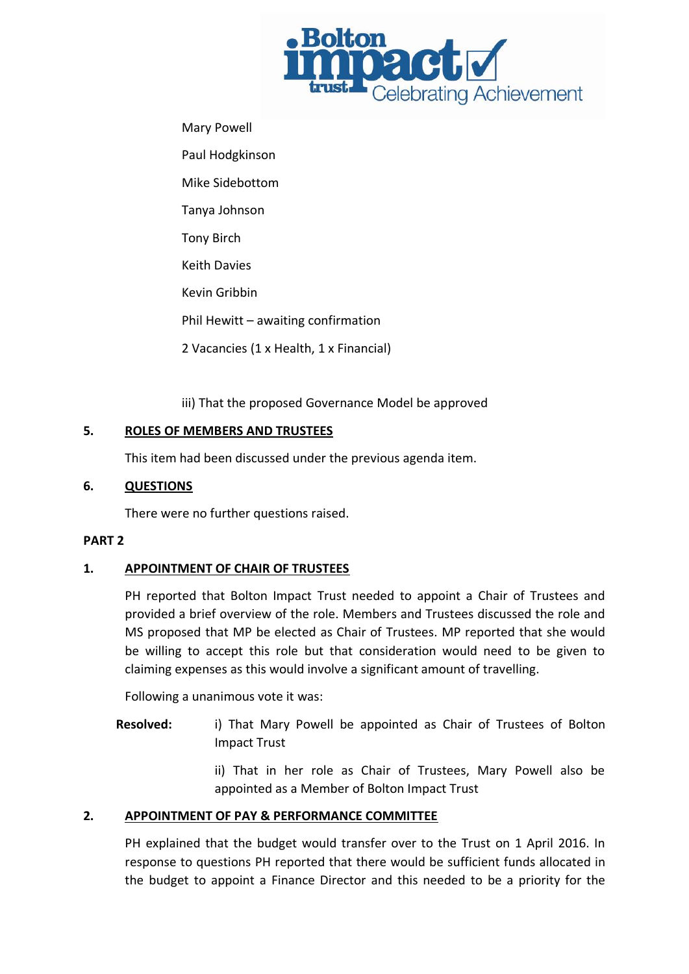

Mary Powell Paul Hodgkinson Mike Sidebottom Tanya Johnson Tony Birch Keith Davies Kevin Gribbin Phil Hewitt – awaiting confirmation 2 Vacancies (1 x Health, 1 x Financial)

iii) That the proposed Governance Model be approved

# **5. ROLES OF MEMBERS AND TRUSTEES**

This item had been discussed under the previous agenda item.

## **6. QUESTIONS**

There were no further questions raised.

## **PART 2**

# **1. APPOINTMENT OF CHAIR OF TRUSTEES**

PH reported that Bolton Impact Trust needed to appoint a Chair of Trustees and provided a brief overview of the role. Members and Trustees discussed the role and MS proposed that MP be elected as Chair of Trustees. MP reported that she would be willing to accept this role but that consideration would need to be given to claiming expenses as this would involve a significant amount of travelling.

Following a unanimous vote it was:

**Resolved:** i) That Mary Powell be appointed as Chair of Trustees of Bolton Impact Trust

> ii) That in her role as Chair of Trustees, Mary Powell also be appointed as a Member of Bolton Impact Trust

# **2. APPOINTMENT OF PAY & PERFORMANCE COMMITTEE**

PH explained that the budget would transfer over to the Trust on 1 April 2016. In response to questions PH reported that there would be sufficient funds allocated in the budget to appoint a Finance Director and this needed to be a priority for the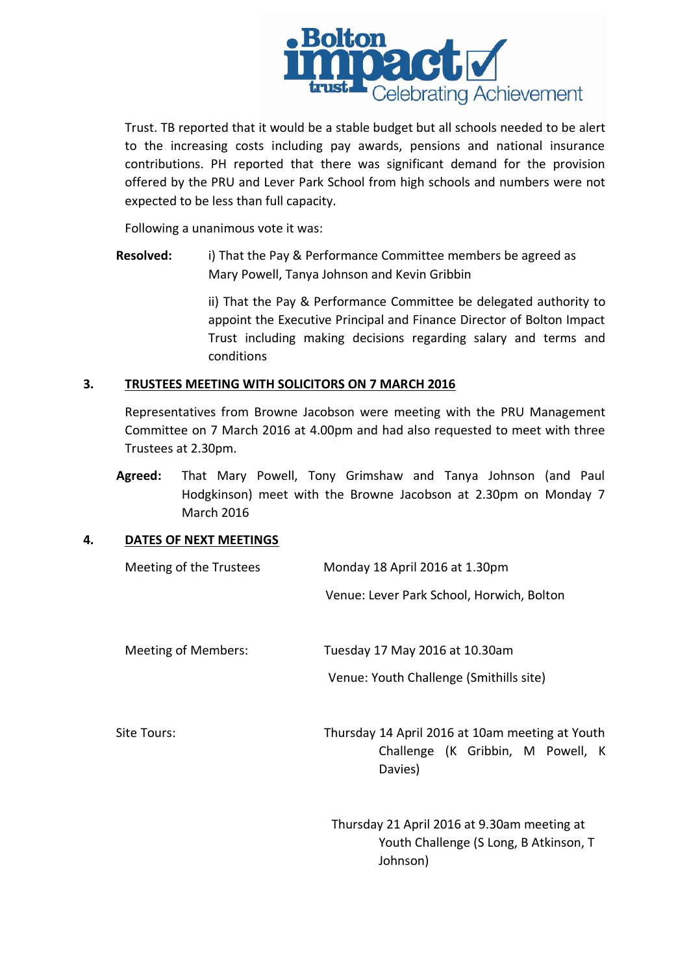

Trust. TB reported that it would be a stable budget but all schools needed to be alert to the increasing costs including pay awards, pensions and national insurance contributions. PH reported that there was significant demand for the provision offered by the PRU and Lever Park School from high schools and numbers were not expected to be less than full capacity.

Following a unanimous vote it was:

**Resolved:** i) That the Pay & Performance Committee members be agreed as Mary Powell, Tanya Johnson and Kevin Gribbin

> ii) That the Pay & Performance Committee be delegated authority to appoint the Executive Principal and Finance Director of Bolton Impact Trust including making decisions regarding salary and terms and conditions

### **3. TRUSTEES MEETING WITH SOLICITORS ON 7 MARCH 2016**

Representatives from Browne Jacobson were meeting with the PRU Management Committee on 7 March 2016 at 4.00pm and had also requested to meet with three Trustees at 2.30pm.

**Agreed:** That Mary Powell, Tony Grimshaw and Tanya Johnson (and Paul Hodgkinson) meet with the Browne Jacobson at 2.30pm on Monday 7 March 2016

### **4. DATES OF NEXT MEETINGS**

| Meeting of the Trustees | Monday 18 April 2016 at 1.30pm                                                                    |
|-------------------------|---------------------------------------------------------------------------------------------------|
|                         | Venue: Lever Park School, Horwich, Bolton                                                         |
| Meeting of Members:     | Tuesday 17 May 2016 at 10.30am                                                                    |
|                         | Venue: Youth Challenge (Smithills site)                                                           |
| Site Tours:             | Thursday 14 April 2016 at 10am meeting at Youth<br>Challenge (K Gribbin, M Powell, K<br>Davies)   |
|                         | Thursday 21 April 2016 at 9.30am meeting at<br>Youth Challenge (S Long, B Atkinson, T<br>Johnson) |